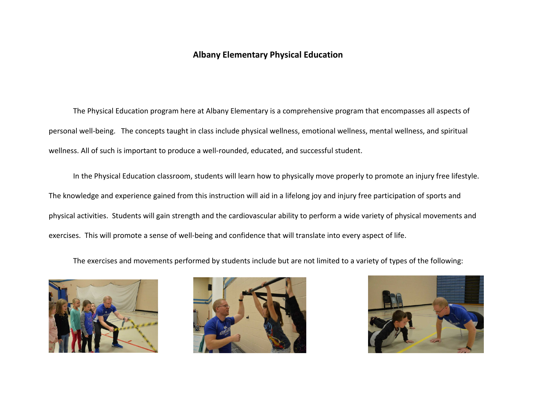## **Albany Elementary Physical Education**

The Physical Education program here at Albany Elementary is a comprehensive program that encompasses all aspects of personal well-being. The concepts taught in class include physical wellness, emotional wellness, mental wellness, and spiritual wellness. All of such is important to produce a well-rounded, educated, and successful student.

In the Physical Education classroom, students will learn how to physically move properly to promote an injury free lifestyle. The knowledge and experience gained from this instruction will aid in a lifelong joy and injury free participation of sports and physical activities. Students will gain strength and the cardiovascular ability to perform a wide variety of physical movements and exercises. This will promote a sense of well-being and confidence that will translate into every aspect of life.

The exercises and movements performed by students include but are not limited to a variety of types of the following:





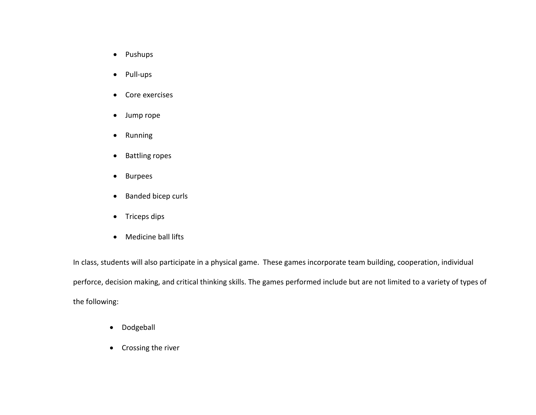- Pushups
- Pull-ups
- Core exercises
- Jump rope
- Running
- Battling ropes
- Burpees
- Banded bicep curls
- Triceps dips
- Medicine ball lifts

In class, students will also participate in a physical game. These games incorporate team building, cooperation, individual perforce, decision making, and critical thinking skills. The games performed include but are not limited to a variety of types of the following:

- Dodgeball
- Crossing the river